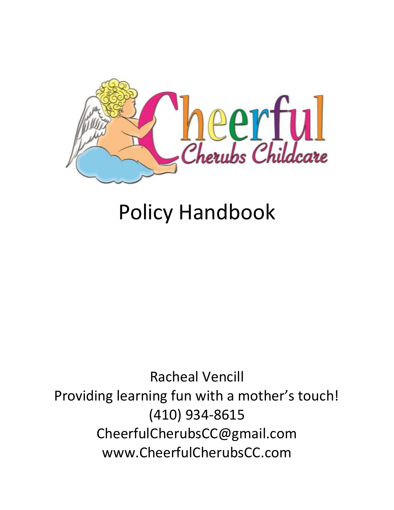

# Policy Handbook

Racheal Vencill Providing learning fun with a mother's touch! (410) 934-8615 CheerfulCherubsCC@gmail.com www.CheerfulCherubsCC.com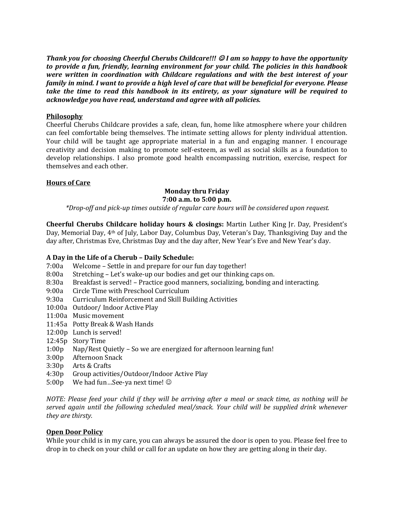*Thank you for choosing Cheerful Cherubs Childcare!!! I am so happy to have the opportunity to provide a fun, friendly, learning environment for your child. The policies in this handbook were written in coordination with Childcare regulations and with the best interest of your family in mind. I want to provide a high level of care that will be beneficial for everyone. Please take the time to read this handbook in its entirety, as your signature will be required to acknowledge you have read, understand and agree with all policies.*

# **Philosophy**

Cheerful Cherubs Childcare provides a safe, clean, fun, home like atmosphere where your children can feel comfortable being themselves. The intimate setting allows for plenty individual attention. Your child will be taught age appropriate material in a fun and engaging manner. I encourage creativity and decision making to promote self-esteem, as well as social skills as a foundation to develop relationships. I also promote good health encompassing nutrition, exercise, respect for themselves and each other.

## **Hours of Care**

#### **Monday thru Friday 7:00 a.m. to 5:00 p.m.**

*\*Drop-off and pick-up times outside of regular care hours will be considered upon request.*

**Cheerful Cherubs Childcare holiday hours & closings:** Martin Luther King Jr. Day, President's Day, Memorial Day, 4th of July, Labor Day, Columbus Day, Veteran's Day, Thanksgiving Day and the day after, Christmas Eve, Christmas Day and the day after, New Year's Eve and New Year's day.

#### **A Day in the Life of a Cherub – Daily Schedule:**

- 7:00a Welcome Settle in and prepare for our fun day together!
- 8:00a Stretching Let's wake-up our bodies and get our thinking caps on.
- 8:30a Breakfast is served! Practice good manners, socializing, bonding and interacting.
- 9:00a Circle Time with Preschool Curriculum
- 9:30a Curriculum Reinforcement and Skill Building Activities
- 10:00a Outdoor/ Indoor Active Play
- 11:00a Music movement
- 11:45a Potty Break & Wash Hands
- 12:00p Lunch is served!
- 12:45p Story Time
- 1:00p Nap/Rest Quietly So we are energized for afternoon learning fun!
- 3:00p Afternoon Snack
- 3:30p Arts & Crafts
- 4:30p Group activities/Outdoor/Indoor Active Play
- 5:00p We had fun…See-ya next time!

*NOTE: Please feed your child if they will be arriving after a meal or snack time, as nothing will be served again until the following scheduled meal/snack. Your child will be supplied drink whenever they are thirsty.*

#### **Open Door Policy**

While your child is in my care, you can always be assured the door is open to you. Please feel free to drop in to check on your child or call for an update on how they are getting along in their day.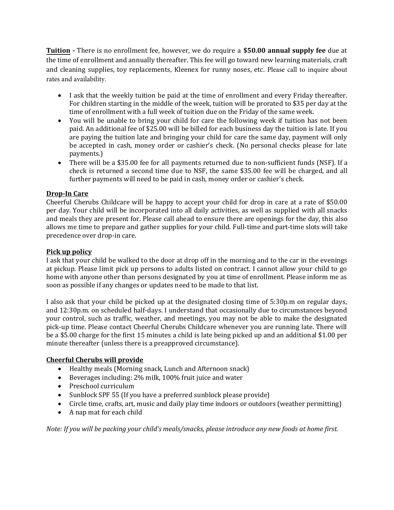**Tuition -** There is no enrollment fee, however, we do require a **\$50.00 annual supply fee** due at the time of enrollment and annually thereafter. This fee will go toward new learning materials, craft and cleaning supplies, toy replacements, Kleenex for runny noses, etc. Please call to inquire about rates and availability.

- I ask that the weekly tuition be paid at the time of enrollment and every Friday thereafter. For children starting in the middle of the week, tuition will be prorated to \$35 per day at the time of enrollment with a full week of tuition due on the Friday of the same week.
- You will be unable to bring your child for care the following week if tuition has not been paid. An additional fee of \$25.00 will be billed for each business day the tuition is late. If you are paying the tuition late and bringing your child for care the same day, payment will only be accepted in cash, money order or cashier's check. (No personal checks please for late payments.)
- There will be a \$35.00 fee for all payments returned due to non-sufficient funds (NSF). If a check is returned a second time due to NSF, the same \$35.00 fee will be charged, and all further payments will need to be paid in cash, money order or cashier's check.

# **Drop-In Care**

Cheerful Cherubs Childcare will be happy to accept your child for drop in care at a rate of \$50.00 per day. Your child will be incorporated into all daily activities, as well as supplied with all snacks and meals they are present for. Please call ahead to ensure there are openings for the day, this also allows me time to prepare and gather supplies for your child. Full-time and part-time slots will take precedence over drop-in care.

# **Pick up policy**

I ask that your child be walked to the door at drop off in the morning and to the car in the evenings at pickup. Please limit pick up persons to adults listed on contract. I cannot allow your child to go home with anyone other than persons designated by you at time of enrollment. Please inform me as soon as possible if any changes or updates need to be made to that list.

I also ask that your child be picked up at the designated closing time of 5:30p.m on regular days, and 12:30p.m. on scheduled half-days. I understand that occasionally due to circumstances beyond your control, such as traffic, weather, and meetings, you may not be able to make the designated pick-up time. Please contact Cheerful Cherubs Childcare whenever you are running late. There will be a \$5.00 charge for the first 15 minutes a child is late being picked up and an additional \$1.00 per minute thereafter (unless there is a preapproved circumstance).

# **Cheerful Cherubs will provide**

- Healthy meals (Morning snack, Lunch and Afternoon snack)
- Beverages including: 2% milk, 100% fruit juice and water
- Preschool curriculum
- Sunblock SPF 55 (If you have a preferred sunblock please provide)
- Circle time, crafts, art, music and daily play time indoors or outdoors (weather permitting)
- A nap mat for each child

*Note: If you will be packing your child's meals/snacks, please introduce any new foods at home first.*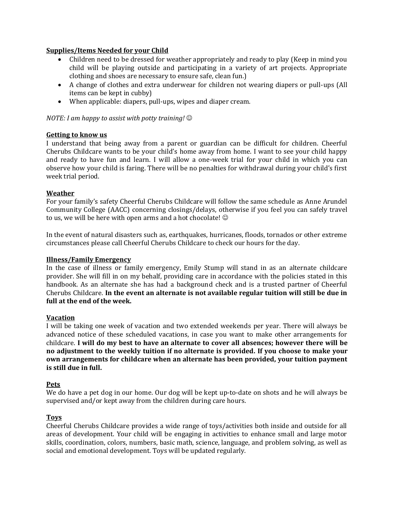# **Supplies/Items Needed for your Child**

- Children need to be dressed for weather appropriately and ready to play (Keep in mind you child will be playing outside and participating in a variety of art projects. Appropriate clothing and shoes are necessary to ensure safe, clean fun.)
- A change of clothes and extra underwear for children not wearing diapers or pull-ups (All items can be kept in cubby)
- When applicable: diapers, pull-ups, wipes and diaper cream.

## *NOTE: I am happy to assist with potty training!*

## **Getting to know us**

I understand that being away from a parent or guardian can be difficult for children. Cheerful Cherubs Childcare wants to be your child's home away from home. I want to see your child happy and ready to have fun and learn. I will allow a one-week trial for your child in which you can observe how your child is faring. There will be no penalties for withdrawal during your child's first week trial period.

## **Weather**

For your family's safety Cheerful Cherubs Childcare will follow the same schedule as Anne Arundel Community College (AACC) concerning closings/delays, otherwise if you feel you can safely travel to us, we will be here with open arms and a hot chocolate!  $\odot$ 

In the event of natural disasters such as, earthquakes, hurricanes, floods, tornados or other extreme circumstances please call Cheerful Cherubs Childcare to check our hours for the day.

#### **Illness/Family Emergency**

In the case of illness or family emergency, Emily Stump will stand in as an alternate childcare provider. She will fill in on my behalf, providing care in accordance with the policies stated in this handbook. As an alternate she has had a background check and is a trusted partner of Cheerful Cherubs Childcare. **In the event an alternate is not available regular tuition will still be due in full at the end of the week.**

#### **Vacation**

I will be taking one week of vacation and two extended weekends per year. There will always be advanced notice of these scheduled vacations, in case you want to make other arrangements for childcare. **I will do my best to have an alternate to cover all absences; however there will be no adjustment to the weekly tuition if no alternate is provided. If you choose to make your own arrangements for childcare when an alternate has been provided, your tuition payment is still due in full.**

#### **Pets**

We do have a pet dog in our home. Our dog will be kept up-to-date on shots and he will always be supervised and/or kept away from the children during care hours.

#### **Toys**

Cheerful Cherubs Childcare provides a wide range of toys/activities both inside and outside for all areas of development. Your child will be engaging in activities to enhance small and large motor skills, coordination, colors, numbers, basic math, science, language, and problem solving, as well as social and emotional development. Toys will be updated regularly.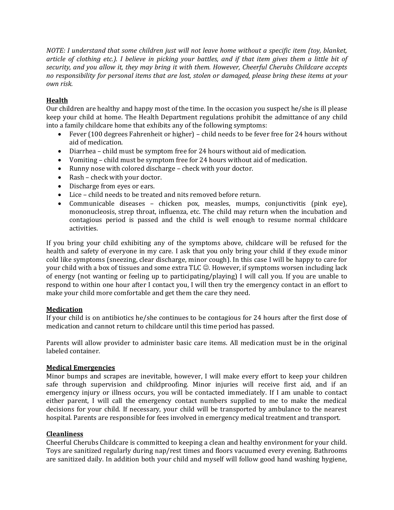*NOTE: I understand that some children just will not leave home without a specific item (toy, blanket, article of clothing etc.). I believe in picking your battles, and if that item gives them a little bit of security, and you allow it, they may bring it with them. However, Cheerful Cherubs Childcare accepts no responsibility for personal items that are lost, stolen or damaged, please bring these items at your own risk.*

# **Health**

Our children are healthy and happy most of the time. In the occasion you suspect he/she is ill please keep your child at home. The Health Department regulations prohibit the admittance of any child into a family childcare home that exhibits any of the following symptoms:

- Fever (100 degrees Fahrenheit or higher) child needs to be fever free for 24 hours without aid of medication.
- Diarrhea child must be symptom free for 24 hours without aid of medication.
- Vomiting child must be symptom free for 24 hours without aid of medication.
- Runny nose with colored discharge check with your doctor.
- Rash check with your doctor.
- Discharge from eyes or ears.
- Lice child needs to be treated and nits removed before return.
- Communicable diseases chicken pox, measles, mumps, conjunctivitis (pink eye), mononucleosis, strep throat, influenza, etc. The child may return when the incubation and contagious period is passed and the child is well enough to resume normal childcare activities.

If you bring your child exhibiting any of the symptoms above, childcare will be refused for the health and safety of everyone in my care. I ask that you only bring your child if they exude minor cold like symptoms (sneezing, clear discharge, minor cough). In this case I will be happy to care for your child with a box of tissues and some extra TLC  $\odot$ . However, if symptoms worsen including lack of energy (not wanting or feeling up to participating/playing) I will call you. If you are unable to respond to within one hour after I contact you, I will then try the emergency contact in an effort to make your child more comfortable and get them the care they need.

# **Medication**

If your child is on antibiotics he/she continues to be contagious for 24 hours after the first dose of medication and cannot return to childcare until this time period has passed.

Parents will allow provider to administer basic care items. All medication must be in the original labeled container.

# **Medical Emergencies**

Minor bumps and scrapes are inevitable, however, I will make every effort to keep your children safe through supervision and childproofing. Minor injuries will receive first aid, and if an emergency injury or illness occurs, you will be contacted immediately. If I am unable to contact either parent, I will call the emergency contact numbers supplied to me to make the medical decisions for your child. If necessary, your child will be transported by ambulance to the nearest hospital. Parents are responsible for fees involved in emergency medical treatment and transport.

# **Cleanliness**

Cheerful Cherubs Childcare is committed to keeping a clean and healthy environment for your child. Toys are sanitized regularly during nap/rest times and floors vacuumed every evening. Bathrooms are sanitized daily. In addition both your child and myself will follow good hand washing hygiene,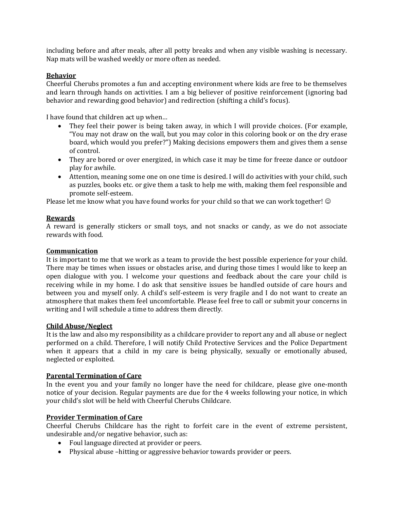including before and after meals, after all potty breaks and when any visible washing is necessary. Nap mats will be washed weekly or more often as needed.

## **Behavior**

Cheerful Cherubs promotes a fun and accepting environment where kids are free to be themselves and learn through hands on activities. I am a big believer of positive reinforcement (ignoring bad behavior and rewarding good behavior) and redirection (shifting a child's focus).

I have found that children act up when…

- They feel their power is being taken away, in which I will provide choices. (For example, "You may not draw on the wall, but you may color in this coloring book or on the dry erase board, which would you prefer?") Making decisions empowers them and gives them a sense of control.
- They are bored or over energized, in which case it may be time for freeze dance or outdoor play for awhile.
- Attention, meaning some one on one time is desired. I will do activities with your child, such as puzzles, books etc. or give them a task to help me with, making them feel responsible and promote self-esteem.

Please let me know what you have found works for your child so that we can work together!  $\odot$ 

## **Rewards**

A reward is generally stickers or small toys, and not snacks or candy, as we do not associate rewards with food.

#### **Communication**

It is important to me that we work as a team to provide the best possible experience for your child. There may be times when issues or obstacles arise, and during those times I would like to keep an open dialogue with you. I welcome your questions and feedback about the care your child is receiving while in my home. I do ask that sensitive issues be handled outside of care hours and between you and myself only. A child's self-esteem is very fragile and I do not want to create an atmosphere that makes them feel uncomfortable. Please feel free to call or submit your concerns in writing and I will schedule a time to address them directly.

#### **Child Abuse/Neglect**

It is the law and also my responsibility as a childcare provider to report any and all abuse or neglect performed on a child. Therefore, I will notify Child Protective Services and the Police Department when it appears that a child in my care is being physically, sexually or emotionally abused, neglected or exploited.

#### **Parental Termination of Care**

In the event you and your family no longer have the need for childcare, please give one-month notice of your decision. Regular payments are due for the 4 weeks following your notice, in which your child's slot will be held with Cheerful Cherubs Childcare.

#### **Provider Termination of Care**

Cheerful Cherubs Childcare has the right to forfeit care in the event of extreme persistent, undesirable and/or negative behavior, such as:

- Foul language directed at provider or peers.
- Physical abuse –hitting or aggressive behavior towards provider or peers.